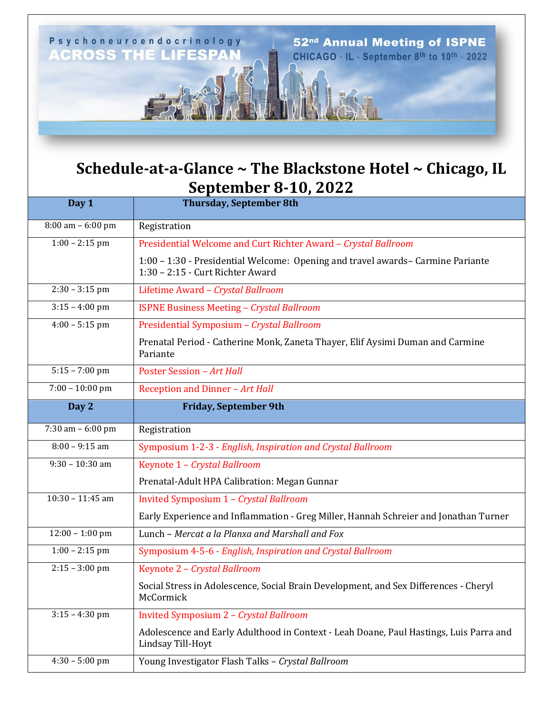

## **Schedule-at-a-Glance ~ The Blackstone Hotel ~ Chicago, IL September 8-10, 2022**

| Day 1                | $-1$ , $-1$<br><b>Thursday, September 8th</b>                                                                       |
|----------------------|---------------------------------------------------------------------------------------------------------------------|
| $8:00$ am $-6:00$ pm | Registration                                                                                                        |
| $1:00 - 2:15$ pm     | Presidential Welcome and Curt Richter Award - Crystal Ballroom                                                      |
|                      | 1:00 - 1:30 - Presidential Welcome: Opening and travel awards- Carmine Pariante<br>1:30 - 2:15 - Curt Richter Award |
| $2:30 - 3:15$ pm     | Lifetime Award - Crystal Ballroom                                                                                   |
| $3:15 - 4:00$ pm     | <b>ISPNE Business Meeting - Crystal Ballroom</b>                                                                    |
| $4:00 - 5:15$ pm     | Presidential Symposium - Crystal Ballroom                                                                           |
|                      | Prenatal Period - Catherine Monk, Zaneta Thayer, Elif Aysimi Duman and Carmine<br>Pariante                          |
| $5:15 - 7:00$ pm     | <b>Poster Session - Art Hall</b>                                                                                    |
| $7:00 - 10:00$ pm    | Reception and Dinner - Art Hall                                                                                     |
| Day 2                | <b>Friday, September 9th</b>                                                                                        |
| 7:30 am - 6:00 pm    | Registration                                                                                                        |
| $8:00 - 9:15$ am     | Symposium 1-2-3 - English, Inspiration and Crystal Ballroom                                                         |
| $9:30 - 10:30$ am    | Keynote 1 - Crystal Ballroom                                                                                        |
|                      | Prenatal-Adult HPA Calibration: Megan Gunnar                                                                        |
| $10:30 - 11:45$ am   | Invited Symposium 1 - Crystal Ballroom                                                                              |
|                      | Early Experience and Inflammation - Greg Miller, Hannah Schreier and Jonathan Turner                                |
| $12:00 - 1:00$ pm    | Lunch - Mercat a la Planxa and Marshall and Fox                                                                     |
| $1:00 - 2:15$ pm     | Symposium 4-5-6 - English, Inspiration and Crystal Ballroom                                                         |
| $2:15 - 3:00$ pm     | Keynote 2 - Crystal Ballroom                                                                                        |
|                      | Social Stress in Adolescence, Social Brain Development, and Sex Differences - Cheryl<br>McCormick                   |
| $3:15 - 4:30$ pm     | <b>Invited Symposium 2 - Crystal Ballroom</b>                                                                       |
|                      | Adolescence and Early Adulthood in Context - Leah Doane, Paul Hastings, Luis Parra and<br>Lindsay Till-Hoyt         |
| $4:30 - 5:00$ pm     | Young Investigator Flash Talks - Crystal Ballroom                                                                   |